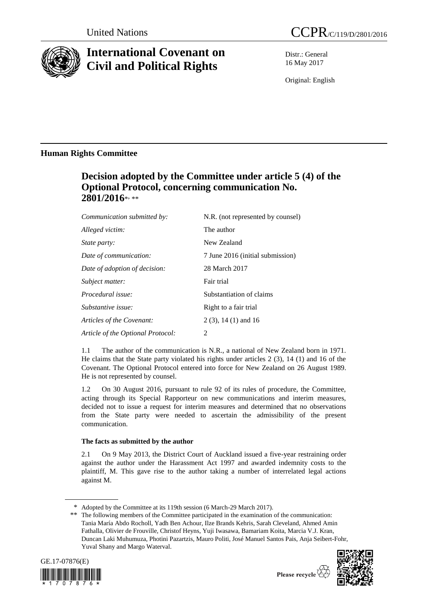

# **International Covenant on Civil and Political Rights**

Distr.: General 16 May 2017

Original: English

## **Human Rights Committee**

# **Decision adopted by the Committee under article 5 (4) of the Optional Protocol, concerning communication No.**  2801/2016\*<sub>\*\*\*</sub>

| Communication submitted by:       | N.R. (not represented by counsel) |
|-----------------------------------|-----------------------------------|
| Alleged victim:                   | The author                        |
| <i>State party:</i>               | New Zealand                       |
| Date of communication:            | 7 June 2016 (initial submission)  |
| Date of adoption of decision:     | 28 March 2017                     |
| Subject matter:                   | Fair trial                        |
| <i>Procedural issue:</i>          | Substantiation of claims          |
| Substantive issue:                | Right to a fair trial             |
| Articles of the Covenant:         | $2(3)$ , 14 (1) and 16            |
| Article of the Optional Protocol: | 2                                 |

1.1 The author of the communication is N.R., a national of New Zealand born in 1971. He claims that the State party violated his rights under articles 2 (3), 14 (1) and 16 of the Covenant. The Optional Protocol entered into force for New Zealand on 26 August 1989. He is not represented by counsel.

1.2 On 30 August 2016, pursuant to rule 92 of its rules of procedure, the Committee, acting through its Special Rapporteur on new communications and interim measures, decided not to issue a request for interim measures and determined that no observations from the State party were needed to ascertain the admissibility of the present communication.

## **The facts as submitted by the author**

2.1 On 9 May 2013, the District Court of Auckland issued a five-year restraining order against the author under the Harassment Act 1997 and awarded indemnity costs to the plaintiff, M. This gave rise to the author taking a number of interrelated legal actions against M.

<sup>\*\*</sup> The following members of the Committee participated in the examination of the communication: Tania María Abdo Rocholl, Yadh Ben Achour, Ilze Brands Kehris, Sarah Cleveland, Ahmed Amin Fathalla, Olivier de Frouville, Christof Heyns, Yuji Iwasawa, Bamariam Koita, Marcia V.J. Kran, Duncan Laki Muhumuza, Photini Pazartzis, Mauro Politi, José Manuel Santos Pais, Anja Seibert-Fohr, Yuval Shany and Margo Waterval.





<sup>\*</sup> Adopted by the Committee at its 119th session (6 March-29 March 2017).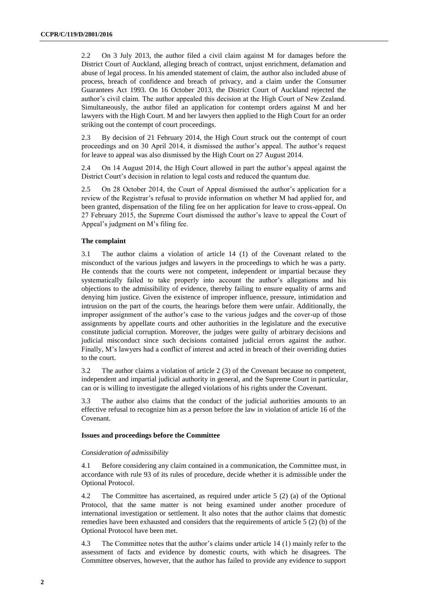2.2 On 3 July 2013, the author filed a civil claim against M for damages before the District Court of Auckland, alleging breach of contract, unjust enrichment, defamation and abuse of legal process. In his amended statement of claim, the author also included abuse of process, breach of confidence and breach of privacy, and a claim under the Consumer Guarantees Act 1993. On 16 October 2013, the District Court of Auckland rejected the author's civil claim. The author appealed this decision at the High Court of New Zealand. Simultaneously, the author filed an application for contempt orders against M and her lawyers with the High Court. M and her lawyers then applied to the High Court for an order striking out the contempt of court proceedings.

2.3 By decision of 21 February 2014, the High Court struck out the contempt of court proceedings and on 30 April 2014, it dismissed the author's appeal. The author's request for leave to appeal was also dismissed by the High Court on 27 August 2014.

2.4 On 14 August 2014, the High Court allowed in part the author's appeal against the District Court's decision in relation to legal costs and reduced the quantum due.

2.5 On 28 October 2014, the Court of Appeal dismissed the author's application for a review of the Registrar's refusal to provide information on whether M had applied for, and been granted, dispensation of the filing fee on her application for leave to cross-appeal. On 27 February 2015, the Supreme Court dismissed the author's leave to appeal the Court of Appeal's judgment on M's filing fee.

## **The complaint**

3.1 The author claims a violation of article 14 (1) of the Covenant related to the misconduct of the various judges and lawyers in the proceedings to which he was a party. He contends that the courts were not competent, independent or impartial because they systematically failed to take properly into account the author's allegations and his objections to the admissibility of evidence, thereby failing to ensure equality of arms and denying him justice. Given the existence of improper influence, pressure, intimidation and intrusion on the part of the courts, the hearings before them were unfair. Additionally, the improper assignment of the author's case to the various judges and the cover-up of those assignments by appellate courts and other authorities in the legislature and the executive constitute judicial corruption. Moreover, the judges were guilty of arbitrary decisions and judicial misconduct since such decisions contained judicial errors against the author. Finally, M's lawyers had a conflict of interest and acted in breach of their overriding duties to the court.

3.2 The author claims a violation of article 2 (3) of the Covenant because no competent, independent and impartial judicial authority in general, and the Supreme Court in particular, can or is willing to investigate the alleged violations of his rights under the Covenant.

3.3 The author also claims that the conduct of the judicial authorities amounts to an effective refusal to recognize him as a person before the law in violation of article 16 of the Covenant.

### **Issues and proceedings before the Committee**

### *Consideration of admissibility*

4.1 Before considering any claim contained in a communication, the Committee must, in accordance with rule 93 of its rules of procedure, decide whether it is admissible under the Optional Protocol.

4.2 The Committee has ascertained, as required under article 5 (2) (a) of the Optional Protocol, that the same matter is not being examined under another procedure of international investigation or settlement. It also notes that the author claims that domestic remedies have been exhausted and considers that the requirements of article 5 (2) (b) of the Optional Protocol have been met.

4.3 The Committee notes that the author's claims under article 14 (1) mainly refer to the assessment of facts and evidence by domestic courts, with which he disagrees. The Committee observes, however, that the author has failed to provide any evidence to support